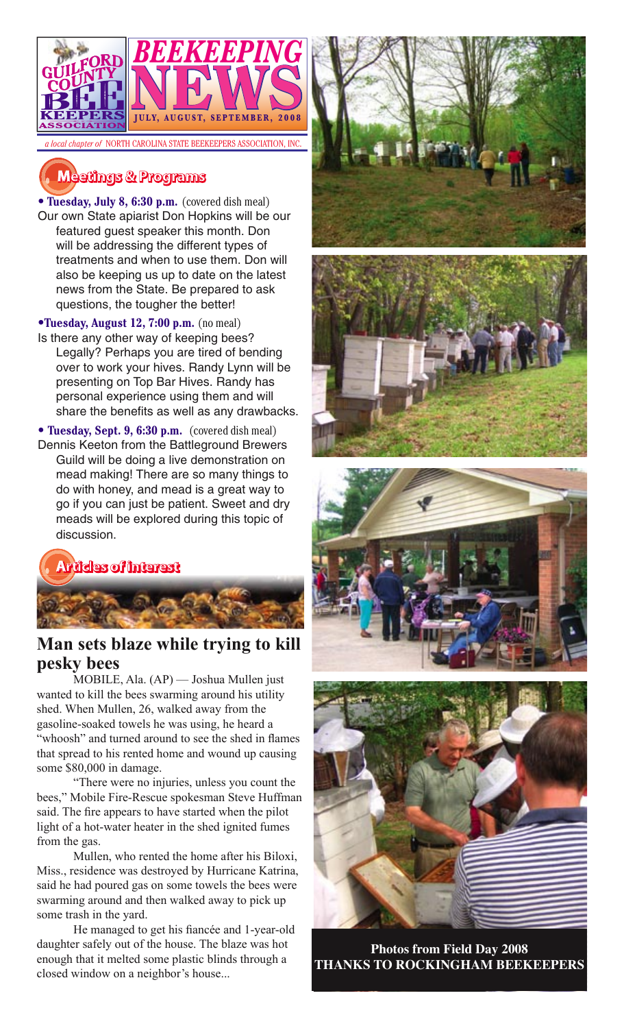

# **�������� � ��������**

• **Tuesday, July 8, 6:30 p.m.** (covered dish meal) Our own State apiarist Don Hopkins will be our featured guest speaker this month. Don will be addressing the different types of treatments and when to use them. Don will also be keeping us up to date on the latest news from the State. Be prepared to ask questions, the tougher the better!

•**Tuesday, August 12, 7:00 p.m.** (no meal)

Is there any other way of keeping bees? Legally? Perhaps you are tired of bending over to work your hives. Randy Lynn will be presenting on Top Bar Hives. Randy has personal experience using them and will share the benefits as well as any drawbacks.

**• Tuesday, Sept. 9, 6:30 p.m.** (covered dish meal) Dennis Keeton from the Battleground Brewers Guild will be doing a live demonstration on mead making! There are so many things to do with honey, and mead is a great way to go if you can just be patient. Sweet and dry meads will be explored during this topic of discussion.



## **Man sets blaze while trying to kill pesky bees**

MOBILE, Ala. (AP) — Joshua Mullen just wanted to kill the bees swarming around his utility shed. When Mullen, 26, walked away from the gasoline-soaked towels he was using, he heard a "whoosh" and turned around to see the shed in flames that spread to his rented home and wound up causing some \$80,000 in damage.

"There were no injuries, unless you count the bees," Mobile Fire-Rescue spokesman Steve Huffman said. The fire appears to have started when the pilot light of a hot-water heater in the shed ignited fumes from the gas.

Mullen, who rented the home after his Biloxi, Miss., residence was destroyed by Hurricane Katrina, said he had poured gas on some towels the bees were swarming around and then walked away to pick up some trash in the yard.

He managed to get his fiancée and 1-year-old daughter safely out of the house. The blaze was hot enough that it melted some plastic blinds through a closed window on a neighbor's house...









**Photos from Field Day 2008 THANKS TO ROCKINGHAM BEEKEEPERS**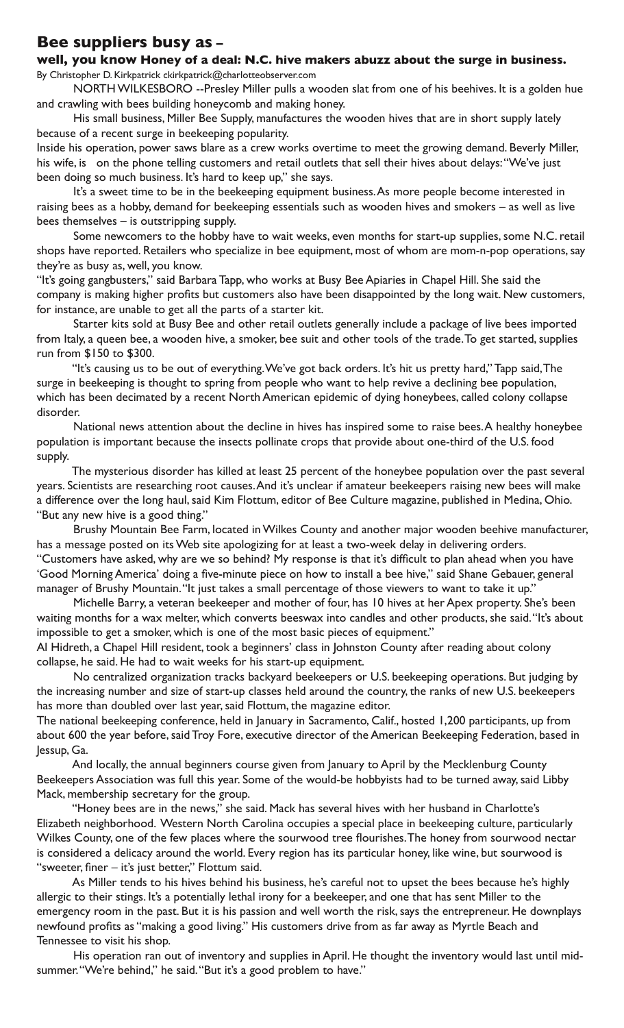## **Bee suppliers busy as – well, you know Honey of a deal: N.C. hive makers abuzz about the surge in business.**

By Christopher D. Kirkpatrick ckirkpatrick@charlotteobserver.com

NORTH WILKESBORO --Presley Miller pulls a wooden slat from one of his beehives. It is a golden hue and crawling with bees building honeycomb and making honey.

His small business, Miller Bee Supply, manufactures the wooden hives that are in short supply lately because of a recent surge in beekeeping popularity.

Inside his operation, power saws blare as a crew works overtime to meet the growing demand. Beverly Miller, his wife, is on the phone telling customers and retail outlets that sell their hives about delays: "We've just been doing so much business. It's hard to keep up," she says.

It's a sweet time to be in the beekeeping equipment business. As more people become interested in raising bees as a hobby, demand for beekeeping essentials such as wooden hives and smokers – as well as live bees themselves – is outstripping supply.

Some newcomers to the hobby have to wait weeks, even months for start-up supplies, some N.C. retail shops have reported. Retailers who specialize in bee equipment, most of whom are mom-n-pop operations, say they're as busy as, well, you know.

"It's going gangbusters," said Barbara Tapp, who works at Busy Bee Apiaries in Chapel Hill. She said the company is making higher profits but customers also have been disappointed by the long wait. New customers, for instance, are unable to get all the parts of a starter kit.

Starter kits sold at Busy Bee and other retail outlets generally include a package of live bees imported from Italy, a queen bee, a wooden hive, a smoker, bee suit and other tools of the trade. To get started, supplies run from \$150 to \$300.

"It's causing us to be out of everything. We've got back orders. It's hit us pretty hard," Tapp said, The surge in beekeeping is thought to spring from people who want to help revive a declining bee population, which has been decimated by a recent North American epidemic of dying honeybees, called colony collapse disorder.

National news attention about the decline in hives has inspired some to raise bees. A healthy honeybee population is important because the insects pollinate crops that provide about one-third of the U.S. food supply.

The mysterious disorder has killed at least 25 percent of the honeybee population over the past several years. Scientists are researching root causes. And it's unclear if amateur beekeepers raising new bees will make a difference over the long haul, said Kim Flottum, editor of Bee Culture magazine, published in Medina, Ohio. "But any new hive is a good thing."

Brushy Mountain Bee Farm, located in Wilkes County and another major wooden beehive manufacturer, has a message posted on its Web site apologizing for at least a two-week delay in delivering orders. "Customers have asked, why are we so behind? My response is that it's difficult to plan ahead when you have 'Good Morning America' doing a five-minute piece on how to install a bee hive," said Shane Gebauer, general manager of Brushy Mountain. "It just takes a small percentage of those viewers to want to take it up."

Michelle Barry, a veteran beekeeper and mother of four, has 10 hives at her Apex property. She's been waiting months for a wax melter, which converts beeswax into candles and other products, she said. "It's about impossible to get a smoker, which is one of the most basic pieces of equipment."

Al Hidreth, a Chapel Hill resident, took a beginners' class in Johnston County after reading about colony collapse, he said. He had to wait weeks for his start-up equipment.

No centralized organization tracks backyard beekeepers or U.S. beekeeping operations. But judging by the increasing number and size of start-up classes held around the country, the ranks of new U.S. beekeepers has more than doubled over last year, said Flottum, the magazine editor.

The national beekeeping conference, held in January in Sacramento, Calif., hosted 1,200 participants, up from about 600 the year before, said Troy Fore, executive director of the American Beekeeping Federation, based in Jessup, Ga.

And locally, the annual beginners course given from January to April by the Mecklenburg County Beekeepers Association was full this year. Some of the would-be hobbyists had to be turned away, said Libby Mack, membership secretary for the group.

"Honey bees are in the news," she said. Mack has several hives with her husband in Charlotte's Elizabeth neighborhood. Western North Carolina occupies a special place in beekeeping culture, particularly Wilkes County, one of the few places where the sourwood tree flourishes. The honey from sourwood nectar is considered a delicacy around the world. Every region has its particular honey, like wine, but sourwood is "sweeter, finer – it's just better," Flottum said.

As Miller tends to his hives behind his business, he's careful not to upset the bees because he's highly allergic to their stings. It's a potentially lethal irony for a beekeeper, and one that has sent Miller to the emergency room in the past. But it is his passion and well worth the risk, says the entrepreneur. He downplays newfound profits as "making a good living." His customers drive from as far away as Myrtle Beach and Tennessee to visit his shop.

His operation ran out of inventory and supplies in April. He thought the inventory would last until midsummer. "We're behind," he said. "But it's a good problem to have."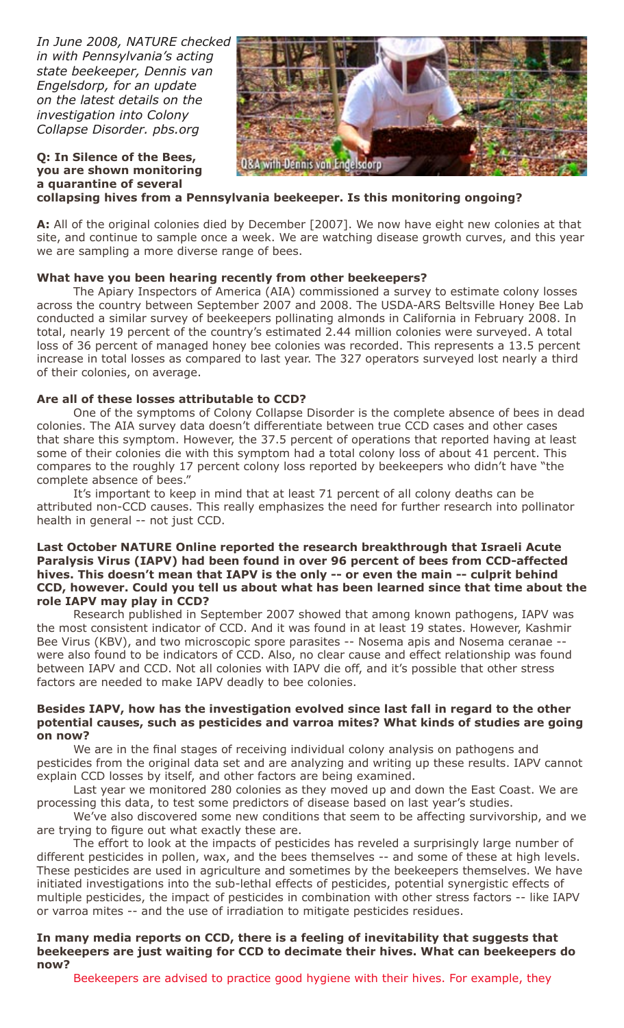*In June 2008, NATURE checked in with Pennsylvania's acting state beekeeper, Dennis van Engelsdorp, for an update on the latest details on the investigation into Colony Collapse Disorder. pbs.org*

**Q: In Silence of the Bees, you are shown monitoring** 



#### **a quarantine of several collapsing hives from a Pennsylvania beekeeper. Is this monitoring ongoing?**

**A:** All of the original colonies died by December [2007]. We now have eight new colonies at that site, and continue to sample once a week. We are watching disease growth curves, and this year we are sampling a more diverse range of bees.

## **What have you been hearing recently from other beekeepers?**

The Apiary Inspectors of America (AIA) commissioned a survey to estimate colony losses across the country between September 2007 and 2008. The USDA-ARS Beltsville Honey Bee Lab conducted a similar survey of beekeepers pollinating almonds in California in February 2008. In total, nearly 19 percent of the country's estimated 2.44 million colonies were surveyed. A total loss of 36 percent of managed honey bee colonies was recorded. This represents a 13.5 percent increase in total losses as compared to last year. The 327 operators surveyed lost nearly a third of their colonies, on average.

### **Are all of these losses attributable to CCD?**

One of the symptoms of Colony Collapse Disorder is the complete absence of bees in dead colonies. The AIA survey data doesn't differentiate between true CCD cases and other cases that share this symptom. However, the 37.5 percent of operations that reported having at least some of their colonies die with this symptom had a total colony loss of about 41 percent. This compares to the roughly 17 percent colony loss reported by beekeepers who didn't have "the complete absence of bees."

It's important to keep in mind that at least 71 percent of all colony deaths can be attributed non-CCD causes. This really emphasizes the need for further research into pollinator health in general -- not just CCD.

#### **Last October NATURE Online reported the research breakthrough that Israeli Acute Paralysis Virus (IAPV) had been found in over 96 percent of bees from CCD-affected hives. This doesn't mean that IAPV is the only -- or even the main -- culprit behind CCD, however. Could you tell us about what has been learned since that time about the role IAPV may play in CCD?**

Research published in September 2007 showed that among known pathogens, IAPV was the most consistent indicator of CCD. And it was found in at least 19 states. However, Kashmir Bee Virus (KBV), and two microscopic spore parasites -- Nosema apis and Nosema ceranae -were also found to be indicators of CCD. Also, no clear cause and effect relationship was found between IAPV and CCD. Not all colonies with IAPV die off, and it's possible that other stress factors are needed to make IAPV deadly to bee colonies.

#### **Besides IAPV, how has the investigation evolved since last fall in regard to the other potential causes, such as pesticides and varroa mites? What kinds of studies are going on now?**

We are in the final stages of receiving individual colony analysis on pathogens and pesticides from the original data set and are analyzing and writing up these results. IAPV cannot explain CCD losses by itself, and other factors are being examined.

Last year we monitored 280 colonies as they moved up and down the East Coast. We are processing this data, to test some predictors of disease based on last year's studies.

We've also discovered some new conditions that seem to be affecting survivorship, and we are trying to figure out what exactly these are.

The effort to look at the impacts of pesticides has reveled a surprisingly large number of different pesticides in pollen, wax, and the bees themselves -- and some of these at high levels. These pesticides are used in agriculture and sometimes by the beekeepers themselves. We have initiated investigations into the sub-lethal effects of pesticides, potential synergistic effects of multiple pesticides, the impact of pesticides in combination with other stress factors -- like IAPV or varroa mites -- and the use of irradiation to mitigate pesticides residues.

#### **In many media reports on CCD, there is a feeling of inevitability that suggests that beekeepers are just waiting for CCD to decimate their hives. What can beekeepers do now?**

Beekeepers are advised to practice good hygiene with their hives. For example, they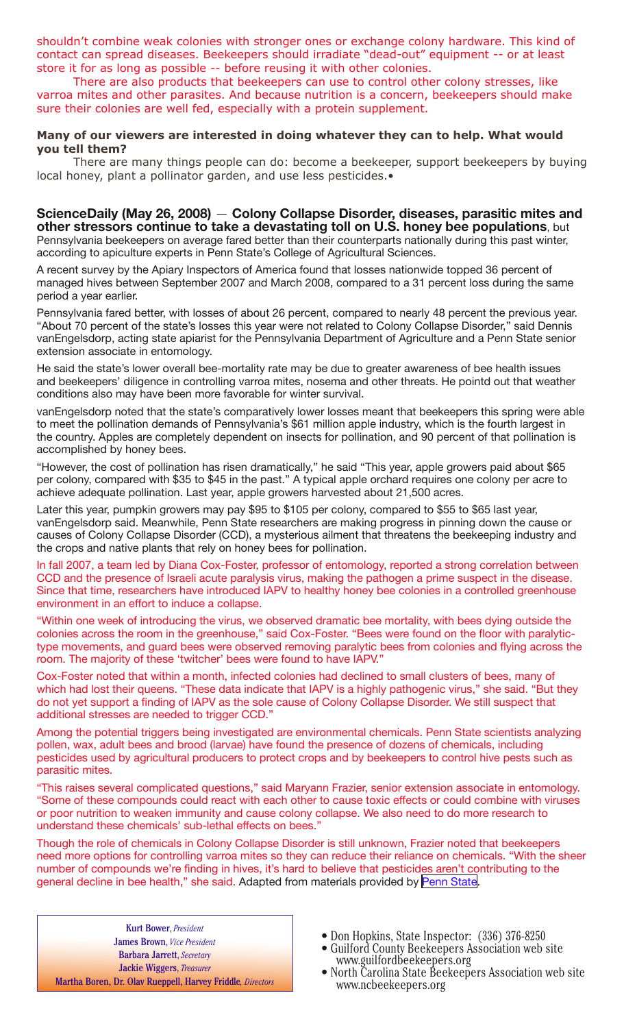shouldn't combine weak colonies with stronger ones or exchange colony hardware. This kind of contact can spread diseases. Beekeepers should irradiate "dead-out" equipment -- or at least store it for as long as possible -- before reusing it with other colonies.

There are also products that beekeepers can use to control other colony stresses, like varroa mites and other parasites. And because nutrition is a concern, beekeepers should make sure their colonies are well fed, especially with a protein supplement.

#### **Many of our viewers are interested in doing whatever they can to help. What would you tell them?**

There are many things people can do: become a beekeeper, support beekeepers by buying local honey, plant a pollinator garden, and use less pesticides.•

## **ScienceDaily (May 26, 2008)** — **Colony Collapse Disorder, diseases, parasitic mites and other stressors continue to take a devastating toll on U.S. honey bee populations**, but

Pennsylvania beekeepers on average fared better than their counterparts nationally during this past winter, according to apiculture experts in Penn State's College of Agricultural Sciences.

A recent survey by the Apiary Inspectors of America found that losses nationwide topped 36 percent of managed hives between September 2007 and March 2008, compared to a 31 percent loss during the same period a year earlier.

Pennsylvania fared better, with losses of about 26 percent, compared to nearly 48 percent the previous year. "About 70 percent of the state's losses this year were not related to Colony Collapse Disorder," said Dennis vanEngelsdorp, acting state apiarist for the Pennsylvania Department of Agriculture and a Penn State senior extension associate in entomology.

He said the state's lower overall bee-mortality rate may be due to greater awareness of bee health issues and beekeepers' diligence in controlling varroa mites, nosema and other threats. He pointd out that weather conditions also may have been more favorable for winter survival.

vanEngelsdorp noted that the state's comparatively lower losses meant that beekeepers this spring were able to meet the pollination demands of Pennsylvania's \$61 million apple industry, which is the fourth largest in the country. Apples are completely dependent on insects for pollination, and 90 percent of that pollination is accomplished by honey bees.

"However, the cost of pollination has risen dramatically," he said "This year, apple growers paid about \$65 per colony, compared with \$35 to \$45 in the past." A typical apple orchard requires one colony per acre to achieve adequate pollination. Last year, apple growers harvested about 21,500 acres.

Later this year, pumpkin growers may pay \$95 to \$105 per colony, compared to \$55 to \$65 last year, vanEngelsdorp said. Meanwhile, Penn State researchers are making progress in pinning down the cause or causes of Colony Collapse Disorder (CCD), a mysterious ailment that threatens the beekeeping industry and the crops and native plants that rely on honey bees for pollination.

In fall 2007, a team led by Diana Cox-Foster, professor of entomology, reported a strong correlation between CCD and the presence of Israeli acute paralysis virus, making the pathogen a prime suspect in the disease. Since that time, researchers have introduced IAPV to healthy honey bee colonies in a controlled greenhouse environment in an effort to induce a collapse.

"Within one week of introducing the virus, we observed dramatic bee mortality, with bees dying outside the colonies across the room in the greenhouse," said Cox-Foster. "Bees were found on the floor with paralytictype movements, and guard bees were observed removing paralytic bees from colonies and flying across the room. The majority of these 'twitcher' bees were found to have IAPV."

Cox-Foster noted that within a month, infected colonies had declined to small clusters of bees, many of which had lost their queens. "These data indicate that IAPV is a highly pathogenic virus," she said. "But they do not yet support a finding of IAPV as the sole cause of Colony Collapse Disorder. We still suspect that additional stresses are needed to trigger CCD."

Among the potential triggers being investigated are environmental chemicals. Penn State scientists analyzing pollen, wax, adult bees and brood (larvae) have found the presence of dozens of chemicals, including pesticides used by agricultural producers to protect crops and by beekeepers to control hive pests such as parasitic mites.

"This raises several complicated questions," said Maryann Frazier, senior extension associate in entomology. "Some of these compounds could react with each other to cause toxic effects or could combine with viruses or poor nutrition to weaken immunity and cause colony collapse. We also need to do more research to understand these chemicals' sub-lethal effects on bees."

Though the role of chemicals in Colony Collapse Disorder is still unknown, Frazier noted that beekeepers need more options for controlling varroa mites so they can reduce their reliance on chemicals. "With the sheer number of compounds we're finding in hives, it's hard to believe that pesticides aren't contributing to the general decline in bee health," she said. Adapted from materials provided by [Penn State](http://www.psu.edu/).

Kurt Bower, *President* James Brown, *Vice President* Barbara Jarrett, *Secretary* Jackie Wiggers, *Treasurer* Martha Boren, Dr. Olav Rueppell, Harvey Friddle*, Directors*

- 
- Don Hopkins, State Inspector: (336) 376-8250 Guilford County Beekeepers Association web site www.guilfordbeekeepers.org North Carolina State Beekeepers Association web site
- www.ncbeekeepers.org